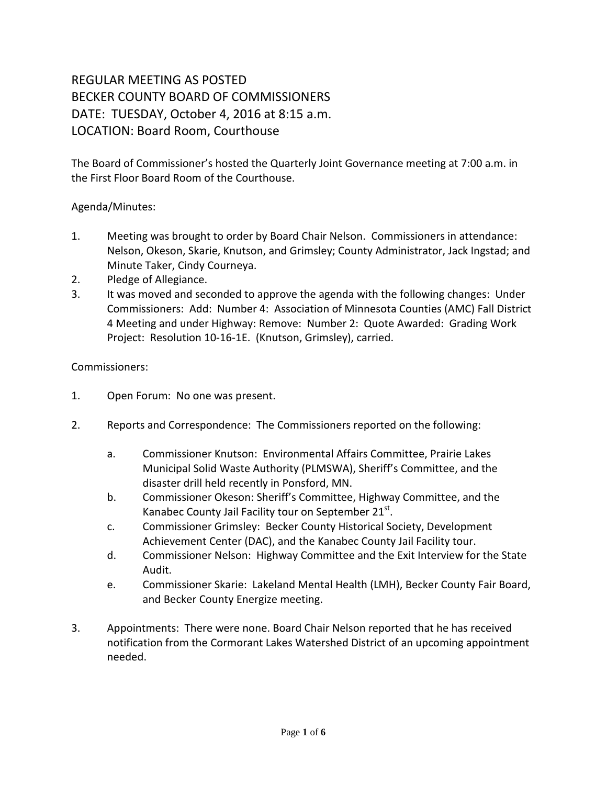## REGULAR MEETING AS POSTED BECKER COUNTY BOARD OF COMMISSIONERS DATE: TUESDAY, October 4, 2016 at 8:15 a.m. LOCATION: Board Room, Courthouse

The Board of Commissioner's hosted the Quarterly Joint Governance meeting at 7:00 a.m. in the First Floor Board Room of the Courthouse.

## Agenda/Minutes:

- 1. Meeting was brought to order by Board Chair Nelson. Commissioners in attendance: Nelson, Okeson, Skarie, Knutson, and Grimsley; County Administrator, Jack Ingstad; and Minute Taker, Cindy Courneya.
- 2. Pledge of Allegiance.
- 3. It was moved and seconded to approve the agenda with the following changes: Under Commissioners: Add: Number 4: Association of Minnesota Counties (AMC) Fall District 4 Meeting and under Highway: Remove: Number 2: Quote Awarded: Grading Work Project: Resolution 10-16-1E. (Knutson, Grimsley), carried.

## Commissioners:

- 1. Open Forum: No one was present.
- 2. Reports and Correspondence: The Commissioners reported on the following:
	- a. Commissioner Knutson: Environmental Affairs Committee, Prairie Lakes Municipal Solid Waste Authority (PLMSWA), Sheriff's Committee, and the disaster drill held recently in Ponsford, MN.
	- b. Commissioner Okeson: Sheriff's Committee, Highway Committee, and the Kanabec County Jail Facility tour on September  $21^{st}$ .
	- c. Commissioner Grimsley: Becker County Historical Society, Development Achievement Center (DAC), and the Kanabec County Jail Facility tour.
	- d. Commissioner Nelson: Highway Committee and the Exit Interview for the State Audit.
	- e. Commissioner Skarie: Lakeland Mental Health (LMH), Becker County Fair Board, and Becker County Energize meeting.
- 3. Appointments: There were none. Board Chair Nelson reported that he has received notification from the Cormorant Lakes Watershed District of an upcoming appointment needed.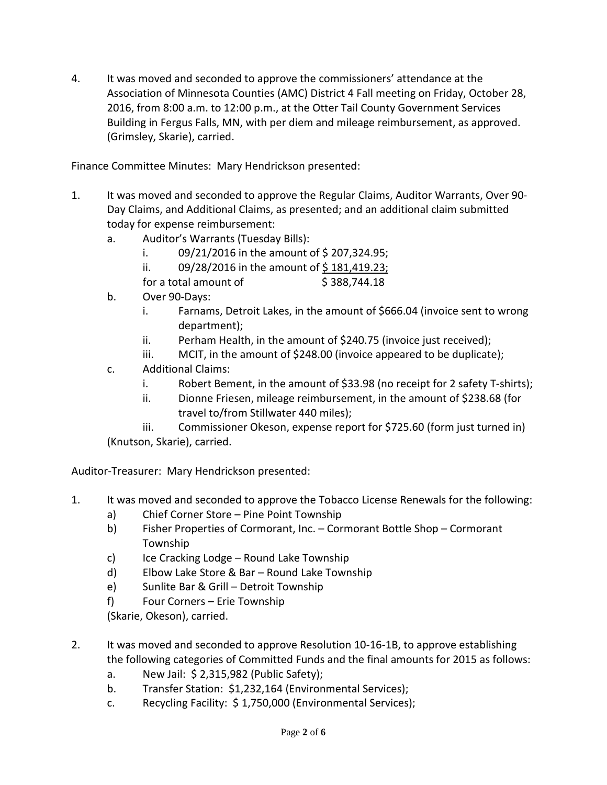4. It was moved and seconded to approve the commissioners' attendance at the Association of Minnesota Counties (AMC) District 4 Fall meeting on Friday, October 28, 2016, from 8:00 a.m. to 12:00 p.m., at the Otter Tail County Government Services Building in Fergus Falls, MN, with per diem and mileage reimbursement, as approved. (Grimsley, Skarie), carried.

Finance Committee Minutes: Mary Hendrickson presented:

- 1. It was moved and seconded to approve the Regular Claims, Auditor Warrants, Over 90- Day Claims, and Additional Claims, as presented; and an additional claim submitted today for expense reimbursement:
	- a. Auditor's Warrants (Tuesday Bills):
		- i.  $09/21/2016$  in the amount of \$207,324.95;
		- ii.  $09/28/2016$  in the amount of \$181,419.23;

for a total amount of  $\qquad\qquad$  \$ 388,744.18

- b. Over 90-Days:
	- i. Farnams, Detroit Lakes, in the amount of \$666.04 (invoice sent to wrong department);
	- ii. Perham Health, in the amount of \$240.75 (invoice just received);
	- iii. MCIT, in the amount of \$248.00 (invoice appeared to be duplicate);
- c. Additional Claims:
	- i. Robert Bement, in the amount of \$33.98 (no receipt for 2 safety T-shirts);
	- ii. Dionne Friesen, mileage reimbursement, in the amount of \$238.68 (for travel to/from Stillwater 440 miles);

iii. Commissioner Okeson, expense report for \$725.60 (form just turned in) (Knutson, Skarie), carried.

Auditor-Treasurer: Mary Hendrickson presented:

- 1. It was moved and seconded to approve the Tobacco License Renewals for the following:
	- a) Chief Corner Store Pine Point Township
	- b) Fisher Properties of Cormorant, Inc. Cormorant Bottle Shop Cormorant Township
	- c) Ice Cracking Lodge Round Lake Township
	- d) Elbow Lake Store & Bar Round Lake Township
	- e) Sunlite Bar & Grill Detroit Township
	- f) Four Corners Erie Township

(Skarie, Okeson), carried.

- 2. It was moved and seconded to approve Resolution 10-16-1B, to approve establishing the following categories of Committed Funds and the final amounts for 2015 as follows:
	- a. New Jail: \$ 2,315,982 (Public Safety);
	- b. Transfer Station: \$1,232,164 (Environmental Services);
	- c. Recycling Facility: \$ 1,750,000 (Environmental Services);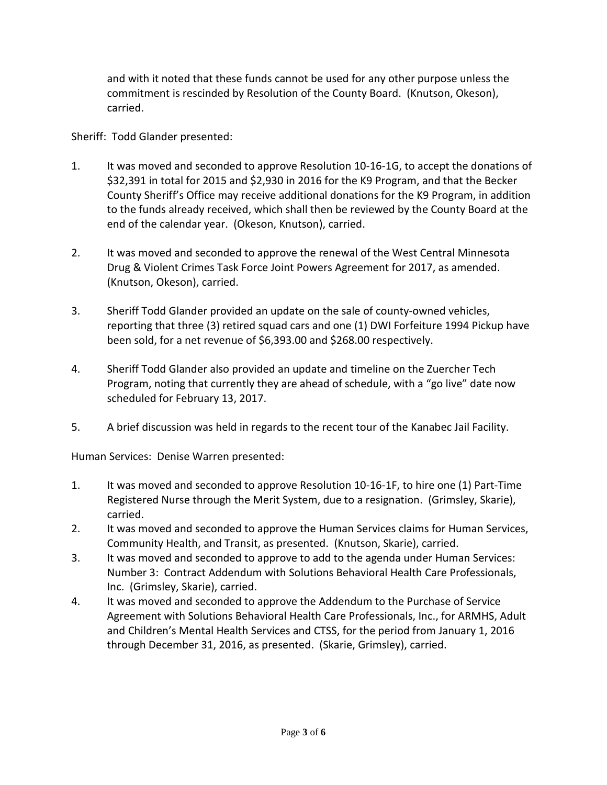and with it noted that these funds cannot be used for any other purpose unless the commitment is rescinded by Resolution of the County Board. (Knutson, Okeson), carried.

## Sheriff: Todd Glander presented:

- 1. It was moved and seconded to approve Resolution 10-16-1G, to accept the donations of \$32,391 in total for 2015 and \$2,930 in 2016 for the K9 Program, and that the Becker County Sheriff's Office may receive additional donations for the K9 Program, in addition to the funds already received, which shall then be reviewed by the County Board at the end of the calendar year. (Okeson, Knutson), carried.
- 2. It was moved and seconded to approve the renewal of the West Central Minnesota Drug & Violent Crimes Task Force Joint Powers Agreement for 2017, as amended. (Knutson, Okeson), carried.
- 3. Sheriff Todd Glander provided an update on the sale of county-owned vehicles, reporting that three (3) retired squad cars and one (1) DWI Forfeiture 1994 Pickup have been sold, for a net revenue of \$6,393.00 and \$268.00 respectively.
- 4. Sheriff Todd Glander also provided an update and timeline on the Zuercher Tech Program, noting that currently they are ahead of schedule, with a "go live" date now scheduled for February 13, 2017.
- 5. A brief discussion was held in regards to the recent tour of the Kanabec Jail Facility.

Human Services: Denise Warren presented:

- 1. It was moved and seconded to approve Resolution 10-16-1F, to hire one (1) Part-Time Registered Nurse through the Merit System, due to a resignation. (Grimsley, Skarie), carried.
- 2. It was moved and seconded to approve the Human Services claims for Human Services, Community Health, and Transit, as presented. (Knutson, Skarie), carried.
- 3. It was moved and seconded to approve to add to the agenda under Human Services: Number 3: Contract Addendum with Solutions Behavioral Health Care Professionals, Inc. (Grimsley, Skarie), carried.
- 4. It was moved and seconded to approve the Addendum to the Purchase of Service Agreement with Solutions Behavioral Health Care Professionals, Inc., for ARMHS, Adult and Children's Mental Health Services and CTSS, for the period from January 1, 2016 through December 31, 2016, as presented. (Skarie, Grimsley), carried.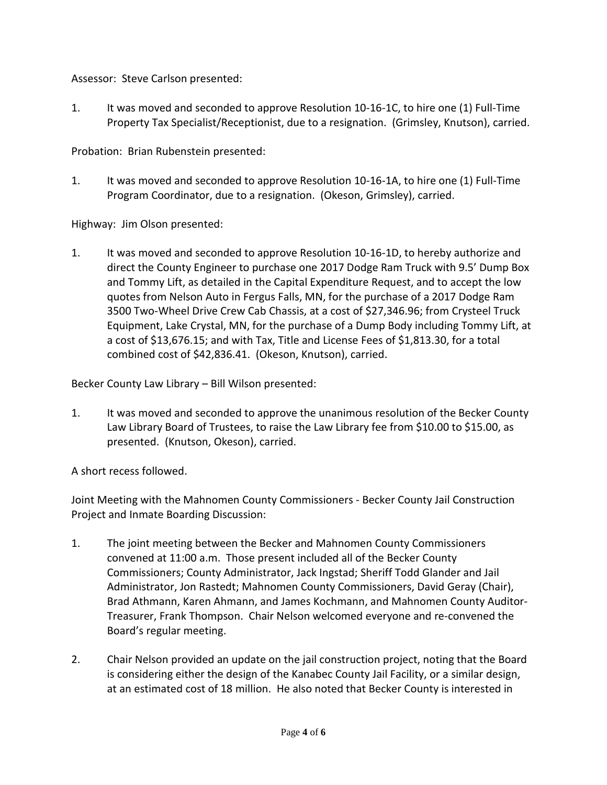Assessor: Steve Carlson presented:

1. It was moved and seconded to approve Resolution 10-16-1C, to hire one (1) Full-Time Property Tax Specialist/Receptionist, due to a resignation. (Grimsley, Knutson), carried.

Probation: Brian Rubenstein presented:

1. It was moved and seconded to approve Resolution 10-16-1A, to hire one (1) Full-Time Program Coordinator, due to a resignation. (Okeson, Grimsley), carried.

Highway: Jim Olson presented:

1. It was moved and seconded to approve Resolution 10-16-1D, to hereby authorize and direct the County Engineer to purchase one 2017 Dodge Ram Truck with 9.5' Dump Box and Tommy Lift, as detailed in the Capital Expenditure Request, and to accept the low quotes from Nelson Auto in Fergus Falls, MN, for the purchase of a 2017 Dodge Ram 3500 Two-Wheel Drive Crew Cab Chassis, at a cost of \$27,346.96; from Crysteel Truck Equipment, Lake Crystal, MN, for the purchase of a Dump Body including Tommy Lift, at a cost of \$13,676.15; and with Tax, Title and License Fees of \$1,813.30, for a total combined cost of \$42,836.41. (Okeson, Knutson), carried.

Becker County Law Library – Bill Wilson presented:

1. It was moved and seconded to approve the unanimous resolution of the Becker County Law Library Board of Trustees, to raise the Law Library fee from \$10.00 to \$15.00, as presented. (Knutson, Okeson), carried.

A short recess followed.

Joint Meeting with the Mahnomen County Commissioners - Becker County Jail Construction Project and Inmate Boarding Discussion:

- 1. The joint meeting between the Becker and Mahnomen County Commissioners convened at 11:00 a.m. Those present included all of the Becker County Commissioners; County Administrator, Jack Ingstad; Sheriff Todd Glander and Jail Administrator, Jon Rastedt; Mahnomen County Commissioners, David Geray (Chair), Brad Athmann, Karen Ahmann, and James Kochmann, and Mahnomen County Auditor-Treasurer, Frank Thompson. Chair Nelson welcomed everyone and re-convened the Board's regular meeting.
- 2. Chair Nelson provided an update on the jail construction project, noting that the Board is considering either the design of the Kanabec County Jail Facility, or a similar design, at an estimated cost of 18 million. He also noted that Becker County is interested in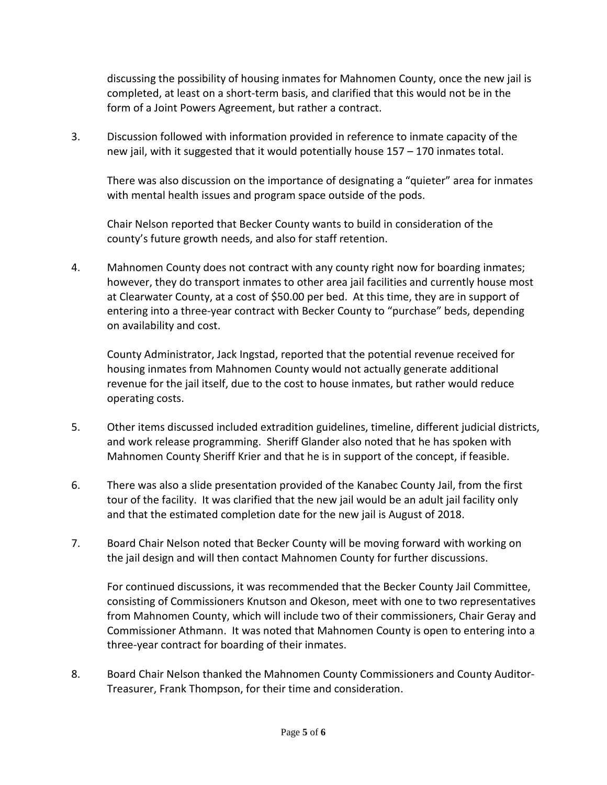discussing the possibility of housing inmates for Mahnomen County, once the new jail is completed, at least on a short-term basis, and clarified that this would not be in the form of a Joint Powers Agreement, but rather a contract.

3. Discussion followed with information provided in reference to inmate capacity of the new jail, with it suggested that it would potentially house 157 – 170 inmates total.

There was also discussion on the importance of designating a "quieter" area for inmates with mental health issues and program space outside of the pods.

Chair Nelson reported that Becker County wants to build in consideration of the county's future growth needs, and also for staff retention.

4. Mahnomen County does not contract with any county right now for boarding inmates; however, they do transport inmates to other area jail facilities and currently house most at Clearwater County, at a cost of \$50.00 per bed. At this time, they are in support of entering into a three-year contract with Becker County to "purchase" beds, depending on availability and cost.

County Administrator, Jack Ingstad, reported that the potential revenue received for housing inmates from Mahnomen County would not actually generate additional revenue for the jail itself, due to the cost to house inmates, but rather would reduce operating costs.

- 5. Other items discussed included extradition guidelines, timeline, different judicial districts, and work release programming. Sheriff Glander also noted that he has spoken with Mahnomen County Sheriff Krier and that he is in support of the concept, if feasible.
- 6. There was also a slide presentation provided of the Kanabec County Jail, from the first tour of the facility. It was clarified that the new jail would be an adult jail facility only and that the estimated completion date for the new jail is August of 2018.
- 7. Board Chair Nelson noted that Becker County will be moving forward with working on the jail design and will then contact Mahnomen County for further discussions.

For continued discussions, it was recommended that the Becker County Jail Committee, consisting of Commissioners Knutson and Okeson, meet with one to two representatives from Mahnomen County, which will include two of their commissioners, Chair Geray and Commissioner Athmann. It was noted that Mahnomen County is open to entering into a three-year contract for boarding of their inmates.

8. Board Chair Nelson thanked the Mahnomen County Commissioners and County Auditor-Treasurer, Frank Thompson, for their time and consideration.